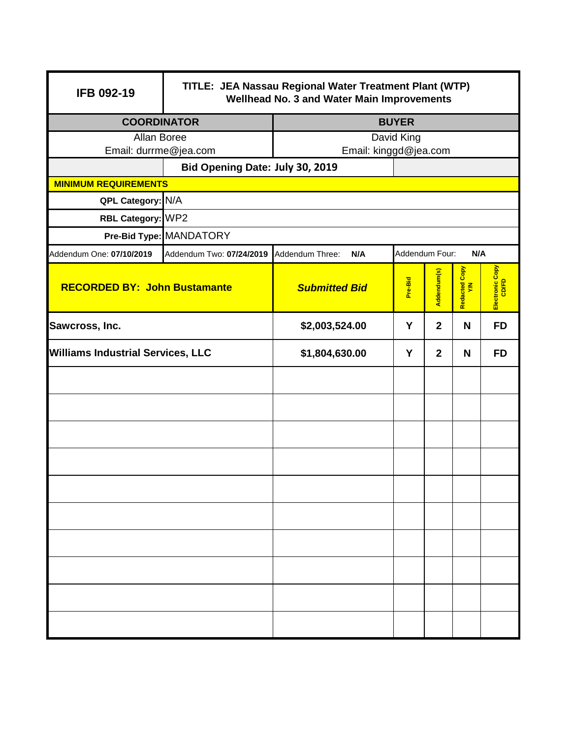| IFB 092-19                               | TITLE: JEA Nassau Regional Water Treatment Plant (WTP)<br>Wellhead No. 3 and Water Main Improvements |                                                                           |                |                 |     |           |
|------------------------------------------|------------------------------------------------------------------------------------------------------|---------------------------------------------------------------------------|----------------|-----------------|-----|-----------|
|                                          | <b>COORDINATOR</b><br><b>BUYER</b>                                                                   |                                                                           |                |                 |     |           |
| Allan Boree                              |                                                                                                      |                                                                           | David King     |                 |     |           |
| Email: durrme@jea.com                    |                                                                                                      | Email: kinggd@jea.com                                                     |                |                 |     |           |
|                                          | Bid Opening Date: July 30, 2019                                                                      |                                                                           |                |                 |     |           |
| <b>MINIMUM REQUIREMENTS</b>              |                                                                                                      |                                                                           |                |                 |     |           |
| QPL Category: N/A                        |                                                                                                      |                                                                           |                |                 |     |           |
| RBL Category: WP2                        |                                                                                                      |                                                                           |                |                 |     |           |
|                                          | Pre-Bid Type: MANDATORY                                                                              |                                                                           |                |                 |     |           |
| Addendum One: 07/10/2019                 | Addendum Two: 07/24/2019                                                                             | Addendum Three:<br>N/A                                                    | Addendum Four: |                 | N/A |           |
| <b>RECORDED BY: John Bustamante</b>      |                                                                                                      | Redacted Copy<br>Addendum(s)<br>Pre-Bid<br>$\leq$<br><b>Submitted Bid</b> |                | Electronic Copy |     |           |
| Y<br>Sawcross, Inc.<br>\$2,003,524.00    |                                                                                                      | $\mathbf{2}$                                                              | N              | <b>FD</b>       |     |           |
| <b>Williams Industrial Services, LLC</b> |                                                                                                      | \$1,804,630.00                                                            | Y              | $\overline{2}$  | N   | <b>FD</b> |
|                                          |                                                                                                      |                                                                           |                |                 |     |           |
|                                          |                                                                                                      |                                                                           |                |                 |     |           |
|                                          |                                                                                                      |                                                                           |                |                 |     |           |
|                                          |                                                                                                      |                                                                           |                |                 |     |           |
|                                          |                                                                                                      |                                                                           |                |                 |     |           |
|                                          |                                                                                                      |                                                                           |                |                 |     |           |
|                                          |                                                                                                      |                                                                           |                |                 |     |           |
|                                          |                                                                                                      |                                                                           |                |                 |     |           |
|                                          |                                                                                                      |                                                                           |                |                 |     |           |
|                                          |                                                                                                      |                                                                           |                |                 |     |           |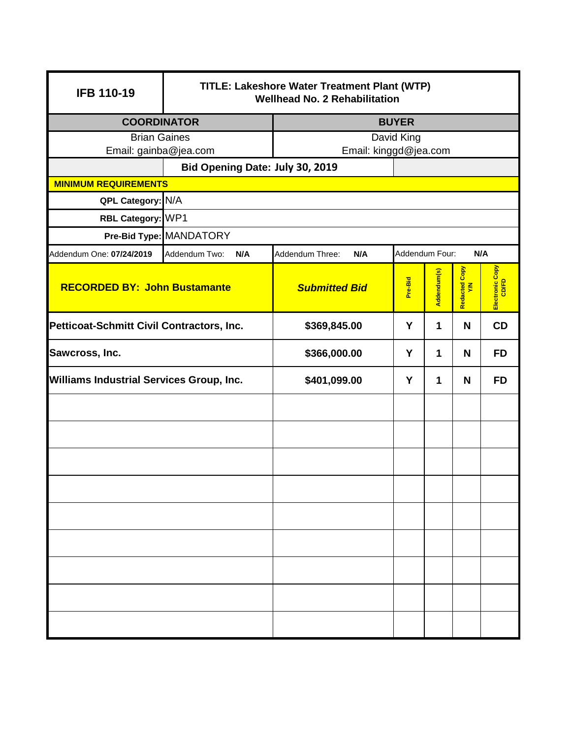| <b>IFB 110-19</b>                               | TITLE: Lakeshore Water Treatment Plant (WTP)<br><b>Wellhead No. 2 Rehabilitation</b> |                        |                |             |                                |                 |
|-------------------------------------------------|--------------------------------------------------------------------------------------|------------------------|----------------|-------------|--------------------------------|-----------------|
|                                                 | <b>COORDINATOR</b><br><b>BUYER</b>                                                   |                        |                |             |                                |                 |
| <b>Brian Gaines</b>                             |                                                                                      | David King             |                |             |                                |                 |
| Email: gainba@jea.com                           |                                                                                      | Email: kinggd@jea.com  |                |             |                                |                 |
|                                                 | Bid Opening Date: July 30, 2019                                                      |                        |                |             |                                |                 |
| <b>MINIMUM REQUIREMENTS</b>                     |                                                                                      |                        |                |             |                                |                 |
| QPL Category: N/A                               |                                                                                      |                        |                |             |                                |                 |
| RBL Category: WP1                               |                                                                                      |                        |                |             |                                |                 |
|                                                 | Pre-Bid Type: MANDATORY                                                              |                        |                |             |                                |                 |
| Addendum One: 07/24/2019                        | Addendum Two:<br>N/A                                                                 | Addendum Three:<br>N/A | Addendum Four: |             | N/A                            |                 |
| <b>RECORDED BY: John Bustamante</b>             |                                                                                      | <b>Submitted Bid</b>   | Pre-Bid        | Addendum(s) | Redacted Copy<br>$\tilde{\xi}$ | Electronic Copy |
| Petticoat-Schmitt Civil Contractors, Inc.       |                                                                                      | \$369,845.00           | Y              | 1           | N                              | CD              |
| Sawcross, Inc.                                  |                                                                                      | \$366,000.00           | Y              | 1           | N                              | <b>FD</b>       |
| <b>Williams Industrial Services Group, Inc.</b> |                                                                                      | \$401,099.00           | Y              | 1           | N                              | <b>FD</b>       |
|                                                 |                                                                                      |                        |                |             |                                |                 |
|                                                 |                                                                                      |                        |                |             |                                |                 |
|                                                 |                                                                                      |                        |                |             |                                |                 |
|                                                 |                                                                                      |                        |                |             |                                |                 |
|                                                 |                                                                                      |                        |                |             |                                |                 |
|                                                 |                                                                                      |                        |                |             |                                |                 |
|                                                 |                                                                                      |                        |                |             |                                |                 |
|                                                 |                                                                                      |                        |                |             |                                |                 |
|                                                 |                                                                                      |                        |                |             |                                |                 |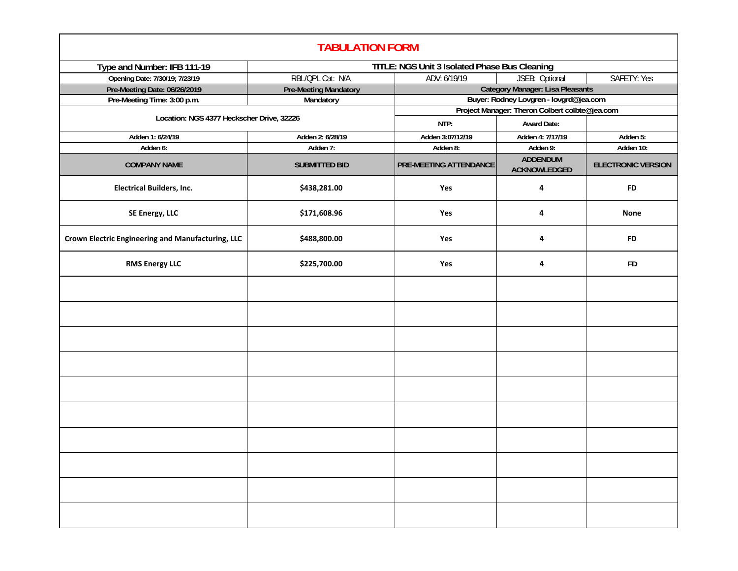| <b>TABULATION FORM</b>                            |                                               |                                                |                                        |                           |  |
|---------------------------------------------------|-----------------------------------------------|------------------------------------------------|----------------------------------------|---------------------------|--|
| Type and Number: IFB 111-19                       | TITLE: NGS Unit 3 Isolated Phase Bus Cleaning |                                                |                                        |                           |  |
| Opening Date: 7/30/19; 7/23/19                    | RBL/QPL Cat: N/A                              | SAFETY: Yes<br>ADV: 6/19/19<br>JSEB: Optional  |                                        |                           |  |
| Pre-Meeting Date: 06/26/2019                      | <b>Pre-Meeting Mandatory</b>                  | <b>Category Manager: Lisa Pleasants</b>        |                                        |                           |  |
| Pre-Meeting Time: 3:00 p.m.                       | Mandatory                                     |                                                | Buyer: Rodney Lovgren - lovgrd@jea.com |                           |  |
| Location: NGS 4377 Heckscher Drive, 32226         |                                               | Project Manager: Theron Colbert colbte@jea.com |                                        |                           |  |
|                                                   |                                               | NTP:                                           | <b>Award Date:</b>                     |                           |  |
| Adden 1: 6/24/19                                  | Adden 2: 6/28/19                              | Adden 3:07/12/19                               | Adden 4: 7/17/19                       | Adden 5:                  |  |
| Adden 6:                                          | Adden 7:                                      | Adden 8:                                       | Adden 9:                               | Adden 10:                 |  |
| <b>COMPANY NAME</b>                               | <b>SUBMITTED BID</b>                          | <b>PRE-MEETING ATTENDANCE</b>                  | <b>ADDENDUM</b><br><b>ACKNOWLEDGED</b> | <b>ELECTRONIC VERSION</b> |  |
| <b>Electrical Builders, Inc.</b>                  | \$438,281.00                                  | Yes                                            | 4                                      | <b>FD</b>                 |  |
| SE Energy, LLC                                    | \$171,608.96                                  | Yes                                            | 4                                      | None                      |  |
| Crown Electric Engineering and Manufacturing, LLC | \$488,800.00                                  | Yes                                            | 4                                      | <b>FD</b>                 |  |
| <b>RMS Energy LLC</b>                             | \$225,700.00                                  | Yes                                            | 4                                      | <b>FD</b>                 |  |
|                                                   |                                               |                                                |                                        |                           |  |
|                                                   |                                               |                                                |                                        |                           |  |
|                                                   |                                               |                                                |                                        |                           |  |
|                                                   |                                               |                                                |                                        |                           |  |
|                                                   |                                               |                                                |                                        |                           |  |
|                                                   |                                               |                                                |                                        |                           |  |
|                                                   |                                               |                                                |                                        |                           |  |
|                                                   |                                               |                                                |                                        |                           |  |
|                                                   |                                               |                                                |                                        |                           |  |
|                                                   |                                               |                                                |                                        |                           |  |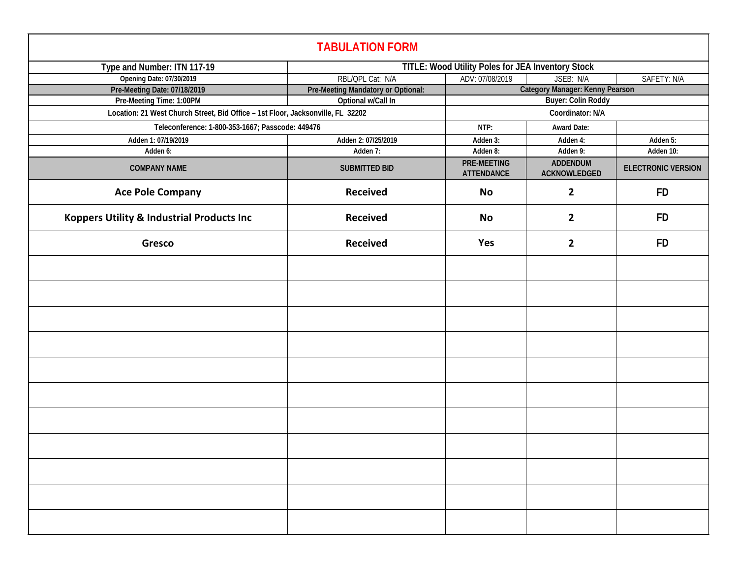| <b>TABULATION FORM</b>                                                          |                                                   |                                  |                                 |                           |  |
|---------------------------------------------------------------------------------|---------------------------------------------------|----------------------------------|---------------------------------|---------------------------|--|
| Type and Number: ITN 117-19                                                     | TITLE: Wood Utility Poles for JEA Inventory Stock |                                  |                                 |                           |  |
| Opening Date: 07/30/2019                                                        | RBL/QPL Cat: N/A                                  | ADV: 07/08/2019                  | JSEB: N/A                       | SAFETY: N/A               |  |
| Pre-Meeting Date: 07/18/2019                                                    | Pre-Meeting Mandatory or Optional:                | Category Manager: Kenny Pearson  |                                 |                           |  |
| Pre-Meeting Time: 1:00PM                                                        | Optional w/Call In                                |                                  | <b>Buyer: Colin Roddy</b>       |                           |  |
| Location: 21 West Church Street, Bid Office - 1st Floor, Jacksonville, FL 32202 |                                                   |                                  | Coordinator: N/A                |                           |  |
| Teleconference: 1-800-353-1667; Passcode: 449476                                |                                                   | NTP:                             | <b>Award Date:</b>              |                           |  |
| Adden 1: 07/19/2019                                                             | Adden 2: 07/25/2019                               | Adden 3:                         | Adden 4:                        | Adden 5:                  |  |
| Adden 6:                                                                        | Adden 7:                                          | Adden 8:                         | Adden 9:                        | Adden 10:                 |  |
| <b>COMPANY NAME</b>                                                             | <b>SUBMITTED BID</b>                              | PRE-MEETING<br><b>ATTENDANCE</b> | <b>ADDENDUM</b><br>ACKNOWLEDGED | <b>ELECTRONIC VERSION</b> |  |
| <b>Ace Pole Company</b>                                                         | <b>Received</b>                                   | No                               | $\overline{2}$                  | <b>FD</b>                 |  |
| Koppers Utility & Industrial Products Inc                                       | <b>Received</b>                                   | No                               | $\overline{2}$                  | <b>FD</b>                 |  |
| Gresco                                                                          | <b>Received</b>                                   | Yes                              | $\mathbf{2}$                    | <b>FD</b>                 |  |
|                                                                                 |                                                   |                                  |                                 |                           |  |
|                                                                                 |                                                   |                                  |                                 |                           |  |
|                                                                                 |                                                   |                                  |                                 |                           |  |
|                                                                                 |                                                   |                                  |                                 |                           |  |
|                                                                                 |                                                   |                                  |                                 |                           |  |
|                                                                                 |                                                   |                                  |                                 |                           |  |
|                                                                                 |                                                   |                                  |                                 |                           |  |
|                                                                                 |                                                   |                                  |                                 |                           |  |
|                                                                                 |                                                   |                                  |                                 |                           |  |
|                                                                                 |                                                   |                                  |                                 |                           |  |
|                                                                                 |                                                   |                                  |                                 |                           |  |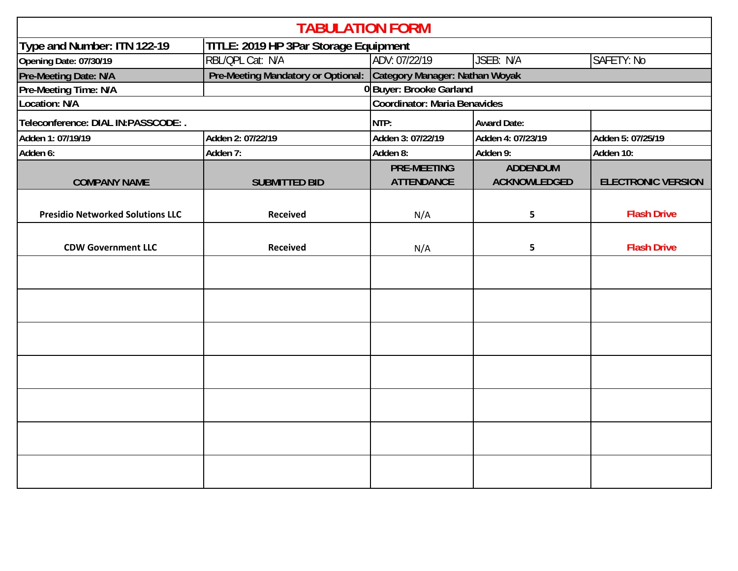| <b>TABULATION FORM</b>                  |                                       |                                          |                     |                           |  |
|-----------------------------------------|---------------------------------------|------------------------------------------|---------------------|---------------------------|--|
| Type and Number: ITN 122-19             | TITLE: 2019 HP 3Par Storage Equipment |                                          |                     |                           |  |
| Opening Date: 07/30/19                  | RBL/QPL Cat: N/A                      | ADV: 07/22/19<br>JSEB: N/A<br>SAFETY: No |                     |                           |  |
| Pre-Meeting Date: N/A                   | Pre-Meeting Mandatory or Optional:    | Category Manager: Nathan Woyak           |                     |                           |  |
| Pre-Meeting Time: N/A                   |                                       | 0Buyer: Brooke Garland                   |                     |                           |  |
| Location: N/A                           | <b>Coordinator: Maria Benavides</b>   |                                          |                     |                           |  |
| Teleconference: DIAL IN:PASSCODE: .     |                                       | NTP:                                     | <b>Award Date:</b>  |                           |  |
| Adden 1: 07/19/19                       | Adden 2: 07/22/19                     | Adden 3: 07/22/19                        | Adden 4: 07/23/19   | Adden 5: 07/25/19         |  |
| Adden 6:                                | Adden 7:                              | Adden 8:                                 | Adden 9:            | Adden 10:                 |  |
|                                         |                                       | <b>PRE-MEETING</b>                       | <b>ADDENDUM</b>     |                           |  |
| <b>COMPANY NAME</b>                     | <b>SUBMITTED BID</b>                  | <b>ATTENDANCE</b>                        | <b>ACKNOWLEDGED</b> | <b>ELECTRONIC VERSION</b> |  |
| <b>Presidio Networked Solutions LLC</b> | <b>Received</b>                       | N/A                                      | 5                   | <b>Flash Drive</b>        |  |
| <b>CDW Government LLC</b>               | <b>Received</b>                       | N/A                                      | 5                   | <b>Flash Drive</b>        |  |
|                                         |                                       |                                          |                     |                           |  |
|                                         |                                       |                                          |                     |                           |  |
|                                         |                                       |                                          |                     |                           |  |
|                                         |                                       |                                          |                     |                           |  |
|                                         |                                       |                                          |                     |                           |  |
|                                         |                                       |                                          |                     |                           |  |
|                                         |                                       |                                          |                     |                           |  |